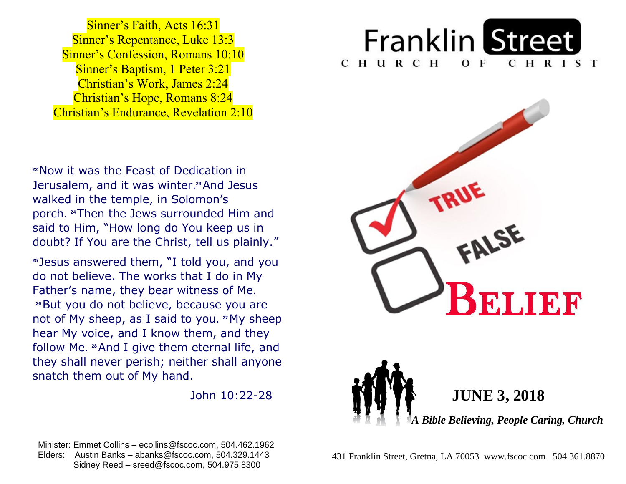**Sinner's Repentance, Luke 13:3 Sinner's Confession, Romans 10:10 Sinner's Baptism, 1 Peter 3:21**  Christian's Work, James 2:24  Christian's Hope, Romans 8:24  Christian's Endurance, Revelation 2:10 Sinner's Faith, Acts 16:31

 **<sup>22</sup>**Now it was the Feast of Dedication in  Jerusalem, and it was winter. **<sup>23</sup>**And Jesus  walked in the temple, in Solomon's  porch. **<sup>24</sup>**Then the Jews surrounded Him and  said to Him, "How long do You keep us in  doubt? If You are the Christ, tell us plainly."

 **<sup>25</sup>** Jesus answered them, "I told you, and you do not believe. The works that I do in My Father's name, they bear witness of Me.  **<sup>26</sup>**But you do not believe, because you are not of My sheep, as I said to you.<sup>27</sup>My sheep hear My voice, and I know them, and they  follow Me. **<sup>28</sup>**And I give them eternal life, and  they shall never perish; neither shall anyone  snatch them out of My hand.

John 10:22-28

 Minister: Emmet Collins – ecollins@fscoc.com, 504.462.1962  Elders: Austin Banks – abanks@fscoc.com, 504.329.1443 Sidney Reed – sreed@fscoc.com, 504.975.8300